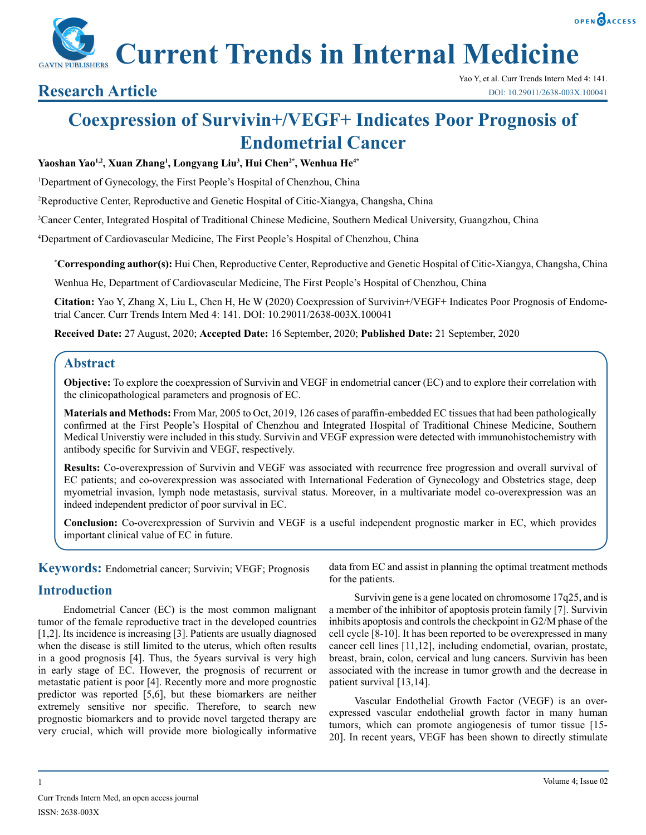

**Current Trends in Internal Medicine**

# **Coexpression of Survivin+/VEGF+ Indicates Poor Prognosis of Endometrial Cancer**

## **Yaoshan Yao1,2, Xuan Zhang1 , Longyang Liu3 , Hui Chen2\*, Wenhua He4\***

<sup>1</sup>Department of Gynecology, the First People's Hospital of Chenzhou, China

2 Reproductive Center, Reproductive and Genetic Hospital of Citic-Xiangya, Changsha, China

3 Cancer Center, Integrated Hospital of Traditional Chinese Medicine, Southern Medical University, Guangzhou, China

4 Department of Cardiovascular Medicine, The First People's Hospital of Chenzhou, China

**\* Corresponding author(s):** Hui Chen, Reproductive Center, Reproductive and Genetic Hospital of Citic-Xiangya, Changsha, China

Wenhua He, Department of Cardiovascular Medicine, The First People's Hospital of Chenzhou, China

**Citation:** Yao Y, Zhang X, Liu L, Chen H, He W (2020) Coexpression of Survivin+/VEGF+ Indicates Poor Prognosis of Endometrial Cancer. Curr Trends Intern Med 4: 141. DOI: 10.29011/2638-003X.100041

**Received Date:** 27 August, 2020; **Accepted Date:** 16 September, 2020; **Published Date:** 21 September, 2020

# **Abstract**

**Objective:** To explore the coexpression of Survivin and VEGF in endometrial cancer (EC) and to explore their correlation with the clinicopathological parameters and prognosis of EC.

**Materials and Methods:** From Mar, 2005 to Oct, 2019, 126 cases of paraffin-embedded EC tissues that had been pathologically confirmed at the First People's Hospital of Chenzhou and Integrated Hospital of Traditional Chinese Medicine, Southern Medical Universtiy were included in this study. Survivin and VEGF expression were detected with immunohistochemistry with antibody specific for Survivin and VEGF, respectively.

**Results:** Co-overexpression of Survivin and VEGF was associated with recurrence free progression and overall survival of EC patients; and co-overexpression was associated with International Federation of Gynecology and Obstetrics stage, deep myometrial invasion, lymph node metastasis, survival status. Moreover, in a multivariate model co-overexpression was an indeed independent predictor of poor survival in EC.

**Conclusion:** Co-overexpression of Survivin and VEGF is a useful independent prognostic marker in EC, which provides important clinical value of EC in future.

**Keywords:** Endometrial cancer; Survivin; VEGF; Prognosis

# **Introduction**

Endometrial Cancer (EC) is the most common malignant tumor of the female reproductive tract in the developed countries [1,2]. Its incidence is increasing [3]. Patients are usually diagnosed when the disease is still limited to the uterus, which often results in a good prognosis [4]. Thus, the 5years survival is very high in early stage of EC. However, the prognosis of recurrent or metastatic patient is poor [4]. Recently more and more prognostic predictor was reported [5,6], but these biomarkers are neither extremely sensitive nor specific. Therefore, to search new prognostic biomarkers and to provide novel targeted therapy are very crucial, which will provide more biologically informative

data from EC and assist in planning the optimal treatment methods for the patients.

Survivin gene is a gene located on chromosome 17q25, and is a member of the inhibitor of apoptosis protein family [7]. Survivin inhibits apoptosis and controls the checkpoint in G2/M phase of the cell cycle [8-10]. It has been reported to be overexpressed in many cancer cell lines [11,12], including endometial, ovarian, prostate, breast, brain, colon, cervical and lung cancers. Survivin has been associated with the increase in tumor growth and the decrease in patient survival [13,14].

Vascular Endothelial Growth Factor (VEGF) is an overexpressed vascular endothelial growth factor in many human tumors, which can promote angiogenesis of tumor tissue [15- 20]. In recent years, VEGF has been shown to directly stimulate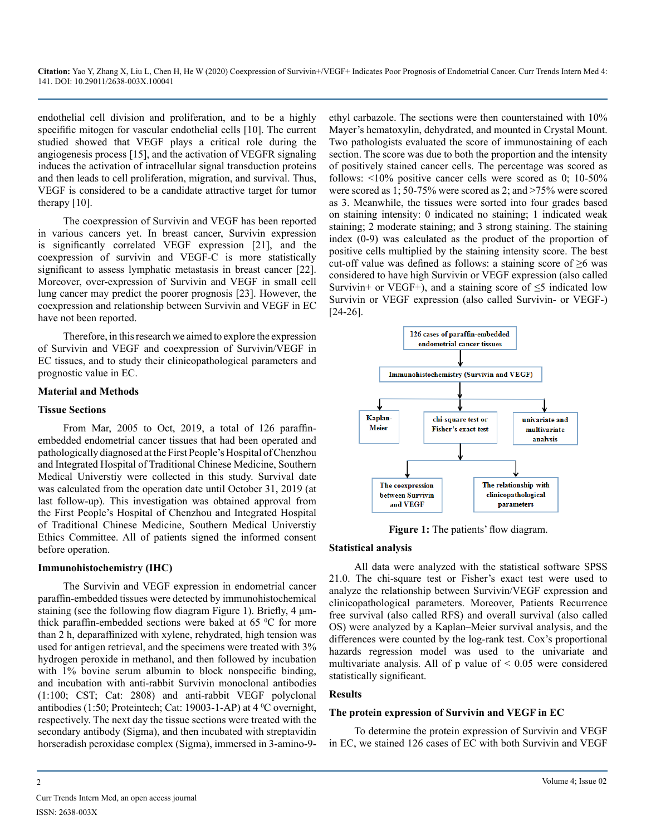endothelial cell division and proliferation, and to be a highly specifific mitogen for vascular endothelial cells [10]. The current studied showed that VEGF plays a critical role during the angiogenesis process [15], and the activation of VEGFR signaling induces the activation of intracellular signal transduction proteins and then leads to cell proliferation, migration, and survival. Thus, VEGF is considered to be a candidate attractive target for tumor therapy [10].

The coexpression of Survivin and VEGF has been reported in various cancers yet. In breast cancer, Survivin expression is significantly correlated VEGF expression [21], and the coexpression of survivin and VEGF-C is more statistically significant to assess lymphatic metastasis in breast cancer [22]. Moreover, over-expression of Survivin and VEGF in small cell lung cancer may predict the poorer prognosis [23]. However, the coexpression and relationship between Survivin and VEGF in EC have not been reported.

Therefore, in this research we aimed to explore the expression of Survivin and VEGF and coexpression of Survivin/VEGF in EC tissues, and to study their clinicopathological parameters and prognostic value in EC.

#### **Material and Methods**

#### **Tissue Sections**

From Mar, 2005 to Oct, 2019, a total of 126 paraffinembedded endometrial cancer tissues that had been operated and pathologically diagnosed at the First People's Hospital of Chenzhou and Integrated Hospital of Traditional Chinese Medicine, Southern Medical Universtiy were collected in this study. Survival date was calculated from the operation date until October 31, 2019 (at last follow-up). This investigation was obtained approval from the First People's Hospital of Chenzhou and Integrated Hospital of Traditional Chinese Medicine, Southern Medical Universtiy Ethics Committee. All of patients signed the informed consent before operation.

### **Immunohistochemistry (IHC)**

The Survivin and VEGF expression in endometrial cancer paraffin-embedded tissues were detected by immunohistochemical staining (see the following flow diagram Figure 1). Briefly, 4 μmthick paraffin-embedded sections were baked at  $65 °C$  for more than 2 h, deparaffinized with xylene, rehydrated, high tension was used for antigen retrieval, and the specimens were treated with 3% hydrogen peroxide in methanol, and then followed by incubation with 1% bovine serum albumin to block nonspecific binding, and incubation with anti-rabbit Survivin monoclonal antibodies (1:100; CST; Cat: 2808) and anti-rabbit VEGF polyclonal antibodies (1:50; Proteintech; Cat: 19003-1-AP) at  $4^{\circ}$ C overnight, respectively. The next day the tissue sections were treated with the secondary antibody (Sigma), and then incubated with streptavidin horseradish peroxidase complex (Sigma), immersed in 3-amino-9ethyl carbazole. The sections were then counterstained with 10% Mayer's hematoxylin, dehydrated, and mounted in Crystal Mount. Two pathologists evaluated the score of immunostaining of each section. The score was due to both the proportion and the intensity of positively stained cancer cells. The percentage was scored as follows: <10% positive cancer cells were scored as 0; 10-50% were scored as 1; 50-75% were scored as 2; and >75% were scored as 3. Meanwhile, the tissues were sorted into four grades based on staining intensity: 0 indicated no staining; 1 indicated weak staining; 2 moderate staining; and 3 strong staining. The staining index (0-9) was calculated as the product of the proportion of positive cells multiplied by the staining intensity score. The best cut-off value was defined as follows: a staining score of  $\geq 6$  was considered to have high Survivin or VEGF expression (also called Survivin+ or VEGF+), and a staining score of  $\leq$ 5 indicated low Survivin or VEGF expression (also called Survivin- or VEGF-) [24-26].



**Figure 1:** The patients' flow diagram.

### **Statistical analysis**

All data were analyzed with the statistical software SPSS 21.0. The chi-square test or Fisher's exact test were used to analyze the relationship between Survivin/VEGF expression and clinicopathological parameters. Moreover, Patients Recurrence free survival (also called RFS) and overall survival (also called OS) were analyzed by a Kaplan–Meier survival analysis, and the differences were counted by the log-rank test. Cox's proportional hazards regression model was used to the univariate and multivariate analysis. All of  $p$  value of  $\leq 0.05$  were considered statistically significant.

### **Results**

#### **The protein expression of Survivin and VEGF in EC**

To determine the protein expression of Survivin and VEGF in EC, we stained 126 cases of EC with both Survivin and VEGF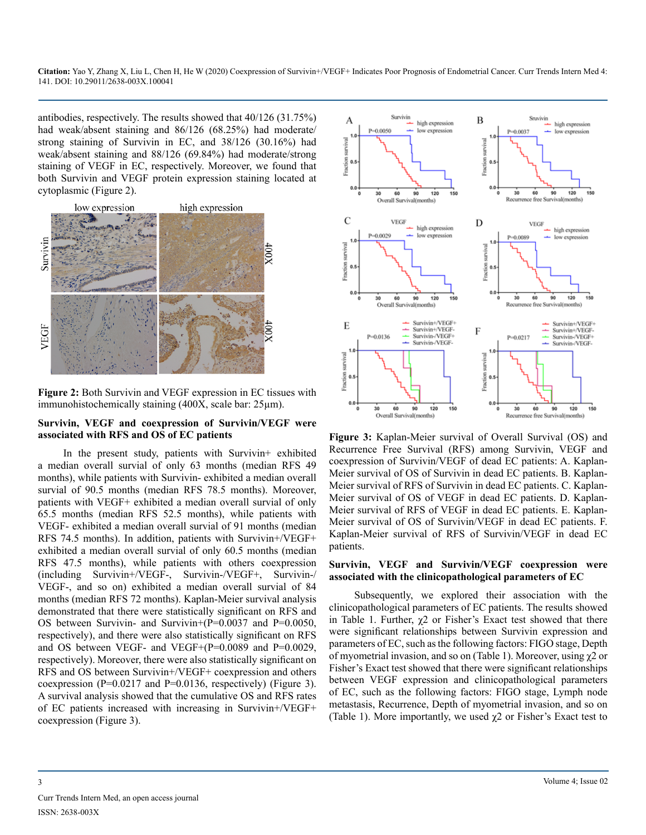antibodies, respectively. The results showed that 40/126 (31.75%) had weak/absent staining and 86/126 (68.25%) had moderate/ strong staining of Survivin in EC, and 38/126 (30.16%) had weak/absent staining and 88/126 (69.84%) had moderate/strong staining of VEGF in EC, respectively. Moreover, we found that both Survivin and VEGF protein expression staining located at cytoplasmic (Figure 2).



**Figure 2:** Both Survivin and VEGF expression in EC tissues with immunohistochemically staining (400X, scale bar: 25µm).

#### **Survivin, VEGF and coexpression of Survivin/VEGF were associated with RFS and OS of EC patients**

In the present study, patients with Survivin+ exhibited a median overall survial of only 63 months (median RFS 49 months), while patients with Survivin- exhibited a median overall survial of 90.5 months (median RFS 78.5 months). Moreover, patients with VEGF+ exhibited a median overall survial of only 65.5 months (median RFS 52.5 months), while patients with VEGF- exhibited a median overall survial of 91 months (median RFS 74.5 months). In addition, patients with Survivin+/VEGF+ exhibited a median overall survial of only 60.5 months (median RFS 47.5 months), while patients with others coexpression (including Survivin+/VEGF-, Survivin-/VEGF+, Survivin-/ VEGF-, and so on) exhibited a median overall survial of 84 months (median RFS 72 months). Kaplan-Meier survival analysis demonstrated that there were statistically significant on RFS and OS between Survivin- and Survivin+(P=0.0037 and P=0.0050, respectively), and there were also statistically significant on RFS and OS between VEGF- and VEGF+(P=0.0089 and P=0.0029, respectively). Moreover, there were also statistically significant on RFS and OS between Survivin+/VEGF+ coexpression and others coexpression (P=0.0217 and P=0.0136, respectively) (Figure 3). A survival analysis showed that the cumulative OS and RFS rates of EC patients increased with increasing in Survivin+/VEGF+ coexpression (Figure 3).



**Figure 3:** Kaplan-Meier survival of Overall Survival (OS) and Recurrence Free Survival (RFS) among Survivin, VEGF and coexpression of Survivin/VEGF of dead EC patients: A. Kaplan-Meier survival of OS of Survivin in dead EC patients. B. Kaplan-Meier survival of RFS of Survivin in dead EC patients. C. Kaplan-Meier survival of OS of VEGF in dead EC patients. D. Kaplan-Meier survival of RFS of VEGF in dead EC patients. E. Kaplan-Meier survival of OS of Survivin/VEGF in dead EC patients. F. Kaplan-Meier survival of RFS of Survivin/VEGF in dead EC patients.

#### **Survivin, VEGF and Survivin/VEGF coexpression were associated with the clinicopathological parameters of EC**

Subsequently, we explored their association with the clinicopathological parameters of EC patients. The results showed in Table 1. Further,  $\chi$ 2 or Fisher's Exact test showed that there were significant relationships between Survivin expression and parameters of EC, such as the following factors: FIGO stage, Depth of myometrial invasion, and so on (Table 1). Moreover, using χ2 or Fisher's Exact test showed that there were significant relationships between VEGF expression and clinicopathological parameters of EC, such as the following factors: FIGO stage, Lymph node metastasis, Recurrence, Depth of myometrial invasion, and so on (Table 1). More importantly, we used  $\chi$ 2 or Fisher's Exact test to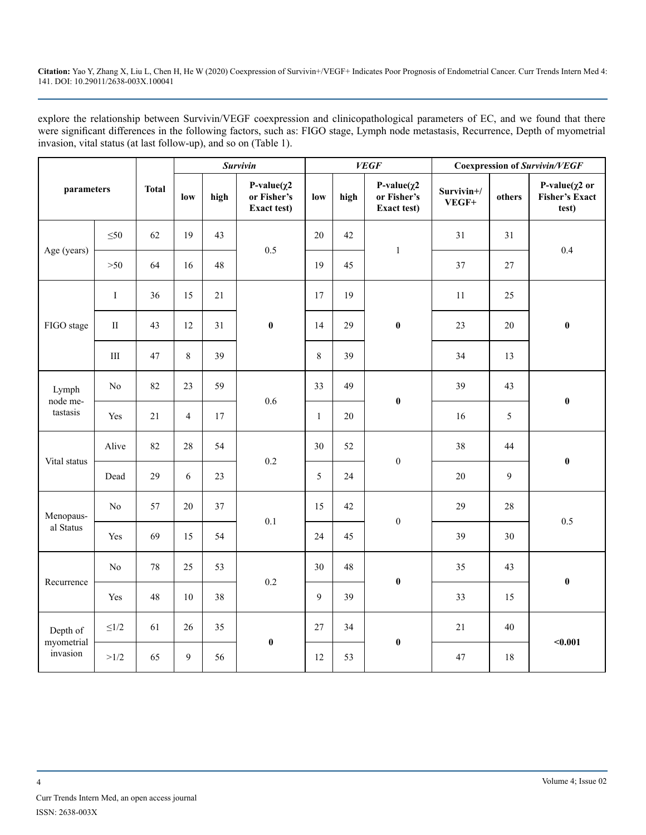explore the relationship between Survivin/VEGF coexpression and clinicopathological parameters of EC, and we found that there were significant differences in the following factors, such as: FIGO stage, Lymph node metastasis, Recurrence, Depth of myometrial invasion, vital status (at last follow-up), and so on (Table 1).

| parameters                         |                | <b>Total</b> | Survivin       |      |                                                         | <b>VEGF</b>  |      |                                                  | <b>Coexpression of Survivin/VEGF</b> |        |                                                        |
|------------------------------------|----------------|--------------|----------------|------|---------------------------------------------------------|--------------|------|--------------------------------------------------|--------------------------------------|--------|--------------------------------------------------------|
|                                    |                |              | low            | high | P-value $(\chi^2)$<br>or Fisher's<br><b>Exact test)</b> | low          | high | P-value $(\chi^2)$<br>or Fisher's<br>Exact test) | Survivin+/<br>VEGF+                  | others | P-value $(\chi^2$ or<br><b>Fisher's Exact</b><br>test) |
|                                    | $\leq 50$      | 62           | 19             | 43   | 0.5                                                     | 20           | 42   | $\mathbf{1}$                                     | 31                                   | 31     | 0.4                                                    |
| Age (years)                        | $>50$          | 64           | 16             | 48   |                                                         | 19           | 45   |                                                  | 37                                   | 27     |                                                        |
|                                    | $\bf{I}$       | 36           | 15             | 21   |                                                         | 17           | 19   | $\pmb{0}$                                        | $11\,$                               | 25     | $\pmb{0}$                                              |
| FIGO stage                         | $\rm II$       | 43           | 12             | 31   | $\pmb{0}$                                               | 14           | 29   |                                                  | 23                                   | 20     |                                                        |
|                                    | $\rm III$      | 47           | 8              | 39   |                                                         | 8            | 39   |                                                  | 34                                   | 13     |                                                        |
| Lymph<br>node me-<br>tastasis      | No             | 82           | 23             | 59   | 0.6                                                     | 33           | 49   | $\pmb{0}$                                        | 39                                   | 43     | $\pmb{0}$                                              |
|                                    | Yes            | 21           | $\overline{4}$ | 17   |                                                         | $\mathbf{1}$ | 20   |                                                  | 16                                   | 5      |                                                        |
| Vital status                       | Alive          | 82           | 28             | 54   | 0.2                                                     | 30           | 52   | $\boldsymbol{0}$                                 | 38                                   | 44     | $\pmb{0}$                                              |
|                                    | Dead           | 29           | 6              | 23   |                                                         | 5            | 24   |                                                  | 20                                   | 9      |                                                        |
| Menopaus-                          | N <sub>0</sub> | 57           | 20             | 37   | 0.1                                                     | 15           | 42   | $\boldsymbol{0}$                                 | 29                                   | 28     | 0.5                                                    |
| al Status                          | Yes            | 69           | 15             | 54   |                                                         | 24           | 45   |                                                  | 39                                   | 30     |                                                        |
| Recurrence                         | N <sub>0</sub> | 78           | 25             | 53   | 0.2                                                     | 30           | 48   | $\pmb{0}$                                        | 35                                   | 43     | $\pmb{0}$                                              |
|                                    | Yes            | 48           | 10             | 38   |                                                         | 9            | 39   |                                                  | 33                                   | 15     |                                                        |
| Depth of<br>myometrial<br>invasion | ${\leq}1/2$    | 61           | 26             | 35   | $\pmb{0}$                                               | 27           | 34   | $\pmb{0}$                                        | 21                                   | 40     | $0.001$                                                |
|                                    | >1/2           | 65           | 9              | 56   |                                                         | 12           | 53   |                                                  | 47                                   | 18     |                                                        |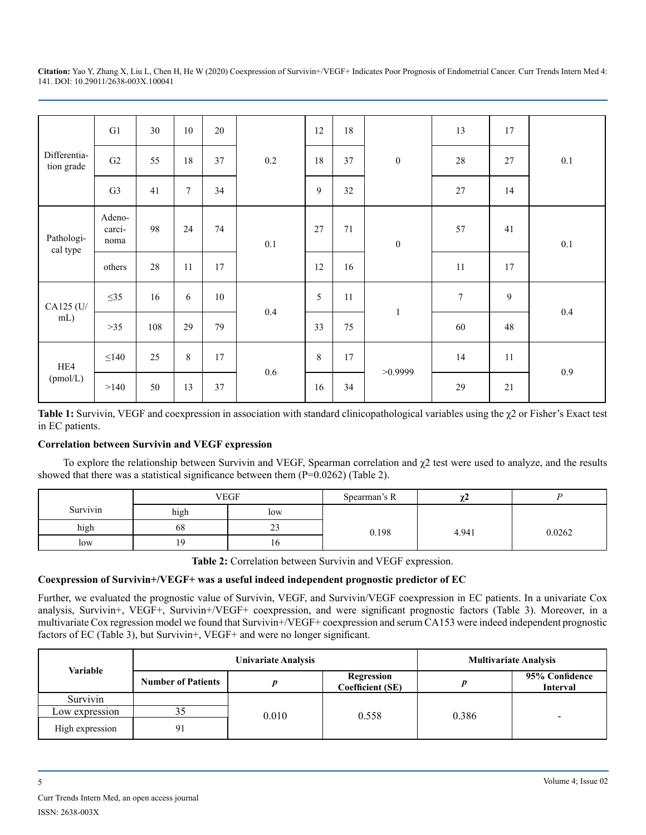| Differentia-<br>tion grade | G1                       | 30  | $10\,$         | 20 |     | 12 | 18 | $\boldsymbol{0}$ | 13               | 17 | $0.1\,$ |
|----------------------------|--------------------------|-----|----------------|----|-----|----|----|------------------|------------------|----|---------|
|                            | G2                       | 55  | 18             | 37 | 0.2 | 18 | 37 |                  | 28               | 27 |         |
|                            | G <sub>3</sub>           | 41  | $\overline{7}$ | 34 |     | 9  | 32 |                  | 27               | 14 |         |
| Pathologi-<br>cal type     | Adeno-<br>carci-<br>noma | 98  | 24             | 74 | 0.1 | 27 | 71 | $\boldsymbol{0}$ | 57               | 41 | $0.1\,$ |
|                            | others                   | 28  | 11             | 17 |     | 12 | 16 |                  | 11               | 17 |         |
| CA125 (U/<br>mL)           | $\leq$ 35                | 16  | 6              | 10 | 0.4 | 5  | 11 | $\,1\,$          | $\boldsymbol{7}$ | 9  | $0.4\,$ |
|                            | $>35$                    | 108 | 29             | 79 |     | 33 | 75 |                  | 60               | 48 |         |
| HE4<br>(pmol/L)            | $\leq$ 140               | 25  | $8\,$          | 17 | 0.6 | 8  | 17 | >0.9999          | 14               | 11 | $0.9\,$ |
|                            | >140                     | 50  | 13             | 37 |     | 16 | 34 |                  | 29               | 21 |         |

**Table 1:** Survivin, VEGF and coexpression in association with standard clinicopathological variables using the χ2 or Fisher's Exact test in EC patients.

# **Correlation between Survivin and VEGF expression**

To explore the relationship between Survivin and VEGF, Spearman correlation and χ2 test were used to analyze, and the results showed that there was a statistical significance between them (P=0.0262) (Table 2).

|          |            | <b>VEGF</b>  | Spearman's R | χΖ    |        |
|----------|------------|--------------|--------------|-------|--------|
| Survivin | high       | low          |              |       |        |
| high     | 68         | $\sim$<br>23 | 0.198        | 4.941 | 0.0262 |
| low      | 1 $\Omega$ | 10           |              |       |        |

**Table 2:** Correlation between Survivin and VEGF expression.

### **Coexpression of Survivin+/VEGF+ was a useful indeed independent prognostic predictor of EC**

Further, we evaluated the prognostic value of Survivin, VEGF, and Survivin/VEGF coexpression in EC patients. In a univariate Cox analysis, Survivin+, VEGF+, Survivin+/VEGF+ coexpression, and were significant prognostic factors (Table 3). Moreover, in a multivariate Cox regression model we found that Survivin+/VEGF+ coexpression and serum CA153 were indeed independent prognostic factors of EC (Table 3), but Survivin+, VEGF+ and were no longer significant.

| Variable        |                           | <b>Univariate Analysis</b> | <b>Multivariate Analysis</b>          |       |                                   |
|-----------------|---------------------------|----------------------------|---------------------------------------|-------|-----------------------------------|
|                 | <b>Number of Patients</b> |                            | Regression<br><b>Coefficient (SE)</b> |       | 95% Confidence<br><b>Interval</b> |
| Survivin        |                           |                            |                                       |       |                                   |
| Low expression  | ر ر                       | 0.010                      | 0.558                                 | 0.386 | $\,$                              |
| High expression | 91                        |                            |                                       |       |                                   |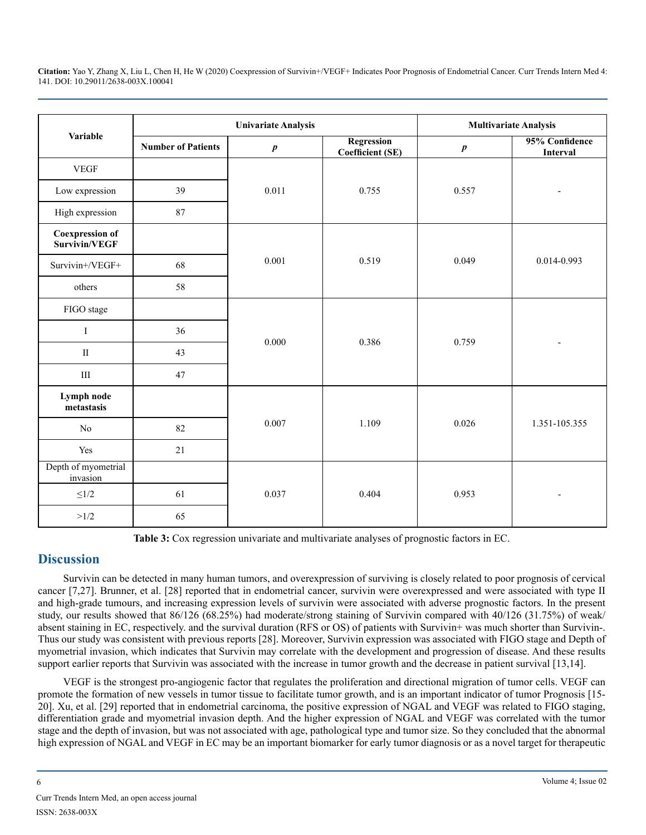|                                         |                           | <b>Univariate Analysis</b> | <b>Multivariate Analysis</b>          |           |                            |
|-----------------------------------------|---------------------------|----------------------------|---------------------------------------|-----------|----------------------------|
| <b>Variable</b>                         | <b>Number of Patients</b> | $\pmb{p}$                  | Regression<br><b>Coefficient (SE)</b> | $\pmb{p}$ | 95% Confidence<br>Interval |
| <b>VEGF</b>                             |                           |                            |                                       |           |                            |
| Low expression                          | 39                        |                            | 0.755                                 | 0.557     |                            |
| High expression                         | 87                        |                            |                                       |           |                            |
| <b>Coexpression of</b><br>Survivin/VEGF |                           |                            |                                       |           |                            |
| Survivin+/VEGF+                         | 68                        | 0.001                      | 0.519                                 | 0.049     | 0.014-0.993                |
| others                                  | 58                        |                            |                                       |           |                            |
| FIGO stage                              |                           |                            |                                       |           |                            |
| $\bf I$                                 | 36                        | 0.000                      | 0.386                                 | 0.759     |                            |
| $\mathbf{I}$                            | 43                        |                            |                                       |           |                            |
| $\rm III$                               | 47                        |                            |                                       |           |                            |
| Lymph node<br>metastasis                |                           |                            |                                       |           |                            |
| $\rm No$                                | 82                        | 0.007                      | 1.109                                 | 0.026     | 1.351-105.355              |
| Yes                                     | 21                        |                            |                                       |           |                            |
| Depth of myometrial<br>invasion         |                           |                            |                                       |           |                            |
| ${\leq}1/2$                             | 61                        | 0.037                      | 0.404                                 | 0.953     |                            |
| >1/2                                    | 65                        |                            |                                       |           |                            |

**Table 3:** Cox regression univariate and multivariate analyses of prognostic factors in EC.

# **Discussion**

Survivin can be detected in many human tumors, and overexpression of surviving is closely related to poor prognosis of cervical cancer [7,27]. Brunner, et al. [28] reported that in endometrial cancer, survivin were overexpressed and were associated with type II and high-grade tumours, and increasing expression levels of survivin were associated with adverse prognostic factors. In the present study, our results showed that 86/126 (68.25%) had moderate/strong staining of Survivin compared with 40/126 (31.75%) of weak/ absent staining in EC, respectively. and the survival duration (RFS or OS) of patients with Survivin+ was much shorter than Survivin-. Thus our study was consistent with previous reports [28]. Moreover, Survivin expression was associated with FIGO stage and Depth of myometrial invasion, which indicates that Survivin may correlate with the development and progression of disease. And these results support earlier reports that Survivin was associated with the increase in tumor growth and the decrease in patient survival [13,14].

VEGF is the strongest pro-angiogenic factor that regulates the proliferation and directional migration of tumor cells. VEGF can promote the formation of new vessels in tumor tissue to facilitate tumor growth, and is an important indicator of tumor Prognosis [15- 20]. Xu, et al. [29] reported that in endometrial carcinoma, the positive expression of NGAL and VEGF was related to FIGO staging, differentiation grade and myometrial invasion depth. And the higher expression of NGAL and VEGF was correlated with the tumor stage and the depth of invasion, but was not associated with age, pathological type and tumor size. So they concluded that the abnormal high expression of NGAL and VEGF in EC may be an important biomarker for early tumor diagnosis or as a novel target for therapeutic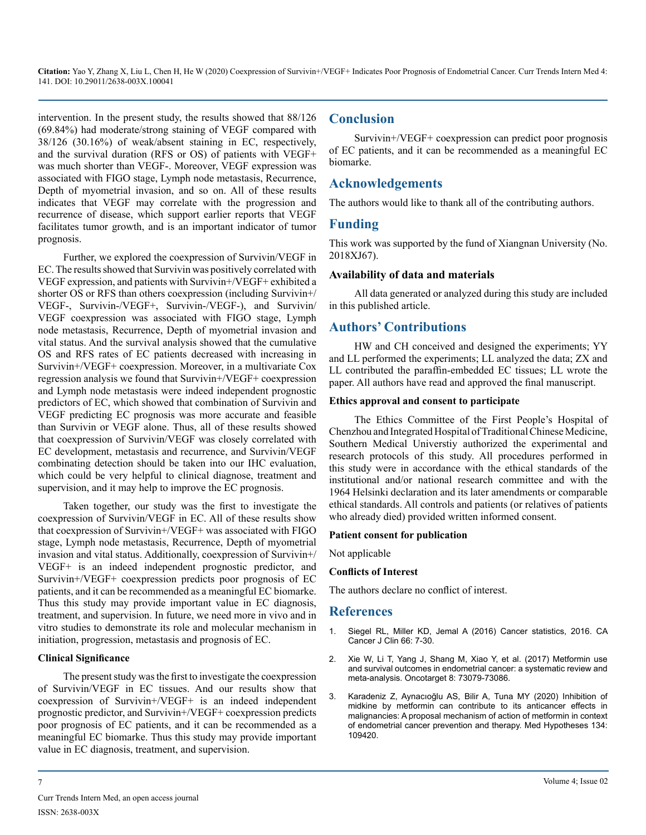intervention. In the present study, the results showed that 88/126 (69.84%) had moderate/strong staining of VEGF compared with 38/126 (30.16%) of weak/absent staining in EC, respectively, and the survival duration (RFS or OS) of patients with VEGF+ was much shorter than VEGF-. Moreover, VEGF expression was associated with FIGO stage, Lymph node metastasis, Recurrence, Depth of myometrial invasion, and so on. All of these results indicates that VEGF may correlate with the progression and recurrence of disease, which support earlier reports that VEGF facilitates tumor growth, and is an important indicator of tumor prognosis.

Further, we explored the coexpression of Survivin/VEGF in EC. The results showed that Survivin was positively correlated with VEGF expression, and patients with Survivin+/VEGF+ exhibited a shorter OS or RFS than others coexpression (including Survivin+/ VEGF-, Survivin-/VEGF+, Survivin-/VEGF-), and Survivin/ VEGF coexpression was associated with FIGO stage, Lymph node metastasis, Recurrence, Depth of myometrial invasion and vital status. And the survival analysis showed that the cumulative OS and RFS rates of EC patients decreased with increasing in Survivin+/VEGF+ coexpression. Moreover, in a multivariate Cox regression analysis we found that Survivin+/VEGF+ coexpression and Lymph node metastasis were indeed independent prognostic predictors of EC, which showed that combination of Survivin and VEGF predicting EC prognosis was more accurate and feasible than Survivin or VEGF alone. Thus, all of these results showed that coexpression of Survivin/VEGF was closely correlated with EC development, metastasis and recurrence, and Survivin/VEGF combinating detection should be taken into our IHC evaluation, which could be very helpful to clinical diagnose, treatment and supervision, and it may help to improve the EC prognosis.

Taken together, our study was the first to investigate the coexpression of Survivin/VEGF in EC. All of these results show that coexpression of Survivin+/VEGF+ was associated with FIGO stage, Lymph node metastasis, Recurrence, Depth of myometrial invasion and vital status. Additionally, coexpression of Survivin+/ VEGF+ is an indeed independent prognostic predictor, and Survivin+/VEGF+ coexpression predicts poor prognosis of EC patients, and it can be recommended as a meaningful EC biomarke. Thus this study may provide important value in EC diagnosis, treatment, and supervision. In future, we need more in vivo and in vitro studies to demonstrate its role and molecular mechanism in initiation, progression, metastasis and prognosis of EC.

#### **Clinical Significance**

The present study was the first to investigate the coexpression of Survivin/VEGF in EC tissues. And our results show that coexpression of Survivin+/VEGF+ is an indeed independent prognostic predictor, and Survivin+/VEGF+ coexpression predicts poor prognosis of EC patients, and it can be recommended as a meaningful EC biomarke. Thus this study may provide important value in EC diagnosis, treatment, and supervision.

# **Conclusion**

Survivin+/VEGF+ coexpression can predict poor prognosis of EC patients, and it can be recommended as a meaningful EC biomarke.

# **Acknowledgements**

The authors would like to thank all of the contributing authors.

# **Funding**

This work was supported by the fund of Xiangnan University (No. 2018XJ67).

#### **Availability of data and materials**

All data generated or analyzed during this study are included in this published article.

# **Authors' Contributions**

HW and CH conceived and designed the experiments; YY and LL performed the experiments; LL analyzed the data; ZX and LL contributed the paraffin-embedded EC tissues; LL wrote the paper. All authors have read and approved the final manuscript.

#### **Ethics approval and consent to participate**

The Ethics Committee of the First People's Hospital of Chenzhou and Integrated Hospital of Traditional Chinese Medicine, Southern Medical Universtiy authorized the experimental and research protocols of this study. All procedures performed in this study were in accordance with the ethical standards of the institutional and/or national research committee and with the 1964 Helsinki declaration and its later amendments or comparable ethical standards. All controls and patients (or relatives of patients who already died) provided written informed consent.

#### **Patient consent for publication**

Not applicable

#### **Conflicts of Interest**

The authors declare no conflict of interest.

### **References**

- 1. [Siegel RL, Miller KD, Jemal A \(2016\) Cancer statistics, 2016. CA](https://acsjournals.onlinelibrary.wiley.com/doi/full/10.3322/caac.21332#:~:text=Expected Numbers of New Cancer Cases,-Table 1 presents&text=The overall estimate of 1%2C685%2C210,to be diagnosed in 2016.)  [Cancer J Clin 66: 7-30.](https://acsjournals.onlinelibrary.wiley.com/doi/full/10.3322/caac.21332#:~:text=Expected Numbers of New Cancer Cases,-Table 1 presents&text=The overall estimate of 1%2C685%2C210,to be diagnosed in 2016.)
- 2. [Xie W, Li T, Yang J, Shang M, Xiao Y, et al. \(2017\) Metformin use](https://www.ncbi.nlm.nih.gov/pmc/articles/PMC5641193/)  [and survival outcomes in endometrial cancer: a systematic review and](https://www.ncbi.nlm.nih.gov/pmc/articles/PMC5641193/) [meta-analysis. Oncotarget 8: 73079-73086.](https://www.ncbi.nlm.nih.gov/pmc/articles/PMC5641193/)
- 3. [Karadeniz Z, Aynacıoğlu AS, Bilir A, Tuna MY \(2020\) Inhibition of](https://pubmed.ncbi.nlm.nih.gov/31634770/)  [midkine by metformin can contribute to its anticancer effects in](https://pubmed.ncbi.nlm.nih.gov/31634770/)  [malignancies: A proposal mechanism of action of metformin in context](https://pubmed.ncbi.nlm.nih.gov/31634770/) [of endometrial cancer prevention and therapy. Med Hypotheses 134:](https://pubmed.ncbi.nlm.nih.gov/31634770/)  [109420.](https://pubmed.ncbi.nlm.nih.gov/31634770/)